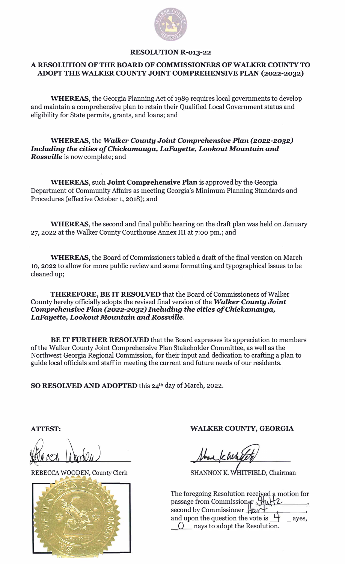

## **RESOLUTION R-013-22**

## **A RESOLUTION OF THE BOARD OF COMMISSIONERS OF WALKER COUNTY TO ADOPT THEW ALKER COUNTY JOINT COMPREHENSIVE PLAN (2022-2032)**

WHEREAS, the Georgia Planning Act of 1989 requires local governments to develop and maintain a comprehensive plan to retain their Qualified Local Government status and eligibility for State permits, grants, and loans; and

WHEREAS, the *Walker County Joint Comprehensive Plan (2022-2032) Including the* cities *of Chickamauga, LaFayette, Lookout Mountain and Rossville* is now complete; and

WHEREAS, such **Joint Comprehensive Plan** is approved by the Georgia Department of Community Affairs as meeting Georgia's Minimum Planning Standards and Procedures (effective October 1, 2018); and

WHEREAS, the second and final public hearing on the draft plan was held on January 27, 2022 at the Walker County Courthouse Annex III at 7:00 pm.; and

WHEREAS, the Board of Commissioners tabled a draft of the final version on March 10, 2022 to allow for more public review and some formatting and typographical issues to be cleaned up;

**THEREFORE, BE IT RESOLVED** that the Board of Commissioners of Walker County hereby officially adopts the revised final version of the *Walker County Joint Comprehensive Plan (2022-2032) Including the* cities *of Chickamauga, LaFayette, Lookout Mountain and Rossville.* 

**BE IT FURTHER RESOLVED** that the Board expresses its appreciation to members of the Walker County Joint Comprehensive Plan Stakeholder Committee, as well as the Northwest Georgia Regional Commission, for their input and dedication to crafting a plan to guide local officials and staff in meeting the current and future needs of our residents.

**SO RESOLVED AND ADOPTED** this 24th day of March, 2022.

**ATTEST:** 

fferce Worlen

REBECCA WOODEN, County Clerk



**WALKER COUNTY, GEORGIA** 

band / cheh

SHANNON K. WHITFIELD, Chairman